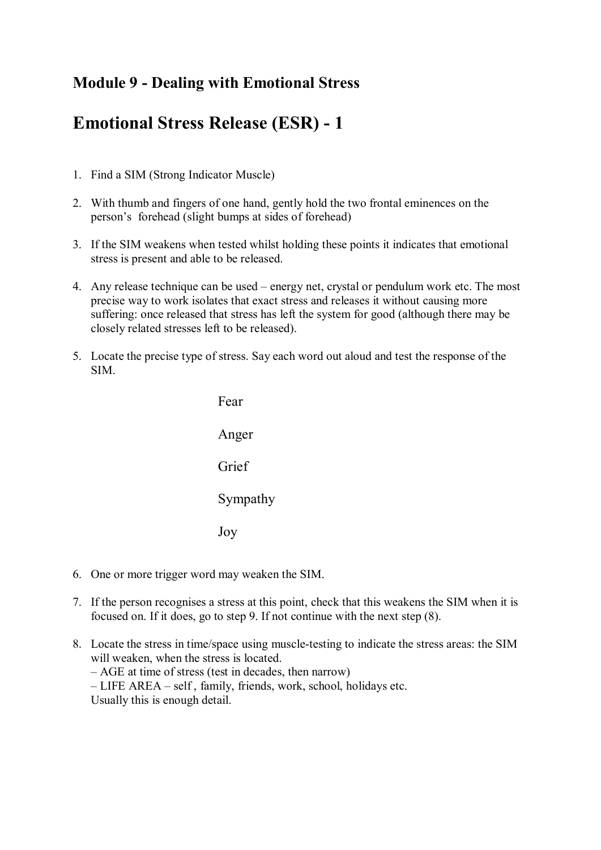## **Module 9 - Dealing with Emotional Stress**

## **Emotional Stress Release (ESR) - 1**

- 1. Find a SIM (Strong Indicator Muscle)
- 2. With thumb and fingers of one hand, gently hold the two frontal eminences on the person's forehead (slight bumps at sides of forehead)
- 3. If the SIM weakens when tested whilst holding these points it indicates that emotional stress is present and able to be released.
- 4. Any release technique can be used energy net, crystal or pendulum work etc. The most precise way to work isolates that exact stress and releases it without causing more suffering: once released that stress has left the system for good (although there may be closely related stresses left to be released).
- 5. Locate the precise type of stress. Say each word out aloud and test the response of the SIM.



- 6. One or more trigger word may weaken the SIM.
- 7. If the person recognises a stress at this point, check that this weakens the SIM when it is focused on. If it does, go to step 9. If not continue with the next step (8).
- 8. Locate the stress in time/space using muscle-testing to indicate the stress areas: the SIM<br>will weeken when the stress is located will weaken, when the stress is located. Locate the stress in time/space using muscle-testing to in<br>will weaken, when the stress is located.<br> $- AGE$  at time of stress (test in decades, then narrow)
	-
	- AGE at time of stress (test in decades, then narrow)<br>– LIFE AREA self, family, friends, work, school, holidays etc.

Usually this is enough detail.